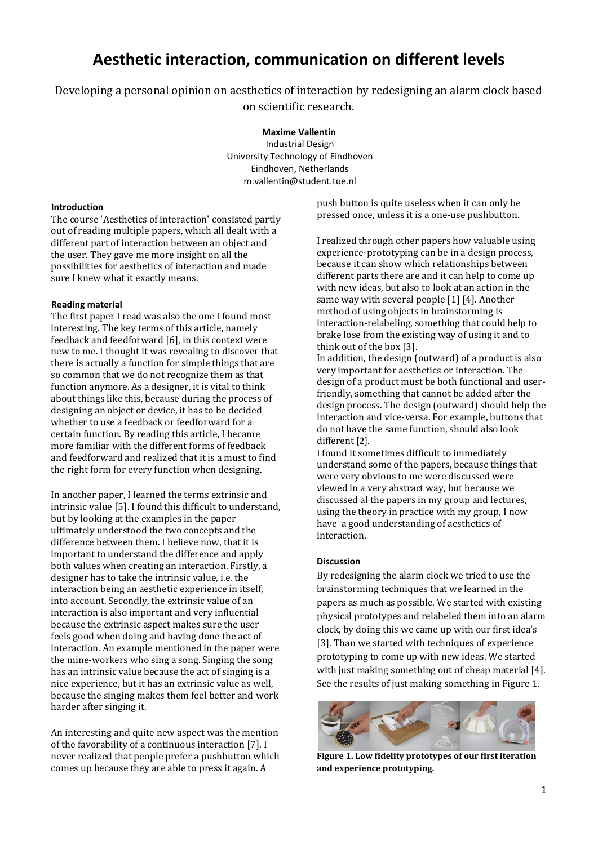# **Aesthetic interaction, communication on different levels**

Developing a personal opinion on aesthetics of interaction by redesigning an alarm clock based on scientific research.

**Maxime Vallentin**

Industrial Design University Technology of Eindhoven Eindhoven, Netherlands [m.vallentin@student.tue.nl](mailto:email@email.com)

#### **Introduction**

The course 'Aesthetics of interaction' consisted partly out of reading multiple papers, which all dealt with a different part of interaction between an object and the user. They gave me more insight on all the possibilities for aesthetics of interaction and made sure I knew what it exactly means.

# **Reading material**

The first paper I read was also the one I found most interesting. The key terms of this article, namely feedback and feedforward [6], in this context were new to me. I thought it was revealing to discover that there is actually a function for simple things that are so common that we do not recognize them as that function anymore. As a designer, it is vital to think about things like this, because during the process of designing an object or device, it has to be decided whether to use a feedback or feedforward for a certain function. By reading this article, I became more familiar with the different forms of feedback and feedforward and realized that it is a must to find the right form for every function when designing.

In another paper, I learned the terms extrinsic and intrinsic value [5]. I found this difficult to understand, but by looking at the examples in the paper ultimately understood the two concepts and the difference between them. I believe now, that it is important to understand the difference and apply both values when creating an interaction. Firstly, a designer has to take the intrinsic value, i.e. the interaction being an aesthetic experience in itself, into account. Secondly, the extrinsic value of an interaction is also important and very influential because the extrinsic aspect makes sure the user feels good when doing and having done the act of interaction. An example mentioned in the paper were the mine-workers who sing a song. Singing the song has an intrinsic value because the act of singing is a nice experience, but it has an extrinsic value as well, because the singing makes them feel better and work harder after singing it.

An interesting and quite new aspect was the mention of the favorability of a continuous interaction [7]. I never realized that people prefer a pushbutton which comes up because they are able to press it again. A

push button is quite useless when it can only be pressed once, unless it is a one-use pushbutton.

I realized through other papers how valuable using experience-prototyping can be in a design process, because it can show which relationships between different parts there are and it can help to come up with new ideas, but also to look at an action in the same way with several people [1] [4]. Another method of using objects in brainstorming is interaction-relabeling, something that could help to brake lose from the existing way of using it and to think out of the box [3].

In addition, the design (outward) of a product is also very important for aesthetics or interaction. The design of a product must be both functional and userfriendly, something that cannot be added after the design process. The design (outward) should help the interaction and vice-versa. For example, buttons that do not have the same function, should also look different [2].

I found it sometimes difficult to immediately understand some of the papers, because things that were very obvious to me were discussed were viewed in a very abstract way, but because we discussed al the papers in my group and lectures, using the theory in practice with my group, I now have a good understanding of aesthetics of interaction.

#### **Discussion**

By redesigning the alarm clock we tried to use the brainstorming techniques that we learned in the papers as much as possible. We started with existing physical prototypes and relabeled them into an alarm clock, by doing this we came up with our first idea's [3]. Than we started with techniques of experience prototyping to come up with new ideas. We started with just making something out of cheap material [4]. See the results of just making something in Figure 1.



**Figure 1. Low fidelity prototypes of our first iteration and experience prototyping.**